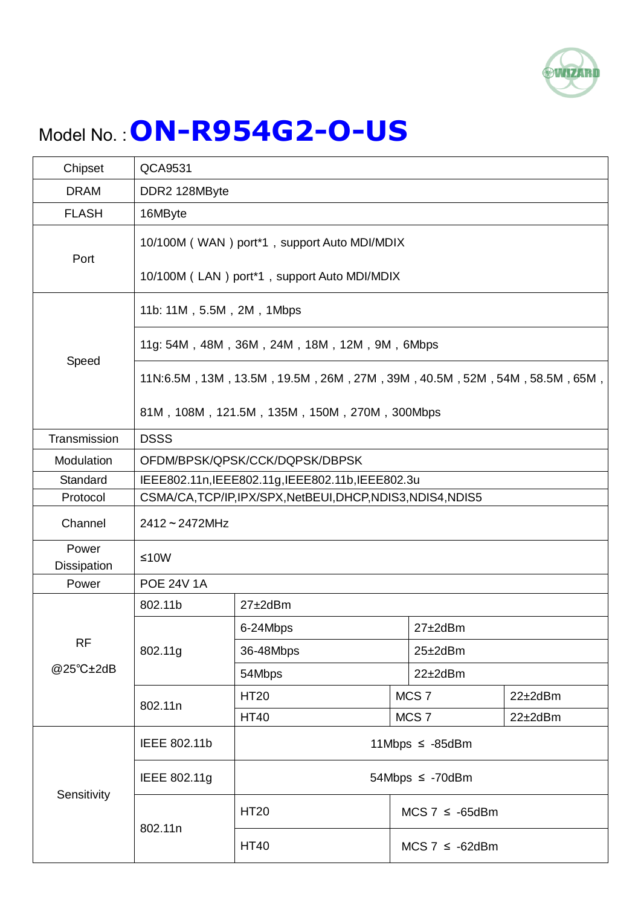

## Model No. :**ON-R954G2-O-US**

| Chipset                     | QCA9531                                                                                                                  |                       |                       |                |  |
|-----------------------------|--------------------------------------------------------------------------------------------------------------------------|-----------------------|-----------------------|----------------|--|
| <b>DRAM</b>                 | DDR2 128MByte                                                                                                            |                       |                       |                |  |
| <b>FLASH</b>                | 16MByte                                                                                                                  |                       |                       |                |  |
| Port                        | 10/100M (WAN) port*1, support Auto MDI/MDIX<br>10/100M (LAN) port*1, support Auto MDI/MDIX                               |                       |                       |                |  |
|                             | 11b: 11M, 5.5M, 2M, 1Mbps                                                                                                |                       |                       |                |  |
| Speed                       | 11g: 54M, 48M, 36M, 24M, 18M, 12M, 9M, 6Mbps                                                                             |                       |                       |                |  |
|                             | 11N:6.5M, 13M, 13.5M, 19.5M, 26M, 27M, 39M, 40.5M, 52M, 54M, 58.5M, 65M,<br>81M, 108M, 121.5M, 135M, 150M, 270M, 300Mbps |                       |                       |                |  |
| Transmission                | <b>DSSS</b>                                                                                                              |                       |                       |                |  |
| Modulation                  | OFDM/BPSK/QPSK/CCK/DQPSK/DBPSK                                                                                           |                       |                       |                |  |
| Standard                    | IEEE802.11n, IEEE802.11g, IEEE802.11b, IEEE802.3u                                                                        |                       |                       |                |  |
| Protocol                    | CSMA/CA,TCP/IP,IPX/SPX,NetBEUI,DHCP,NDIS3,NDIS4,NDIS5                                                                    |                       |                       |                |  |
| Channel                     | $2412 - 2472$ MHz                                                                                                        |                       |                       |                |  |
| Power<br><b>Dissipation</b> | $≤10W$                                                                                                                   |                       |                       |                |  |
| Power                       | <b>POE 24V 1A</b>                                                                                                        |                       |                       |                |  |
|                             | 802.11b<br>$27 \pm 2$ dBm                                                                                                |                       |                       |                |  |
|                             | 802.11g                                                                                                                  | 6-24Mbps              | $27 \pm 2$ dBm        |                |  |
| <b>RF</b><br>@25°C±2dB      |                                                                                                                          | 36-48Mbps             | $25 \pm 2$ dBm        |                |  |
|                             |                                                                                                                          | 54Mbps                | $22 \pm 2$ dBm        |                |  |
|                             | 802.11n                                                                                                                  | <b>HT20</b>           | MCS <sub>7</sub>      | $22\pm2$ dBm   |  |
|                             |                                                                                                                          | <b>HT40</b>           | MCS <sub>7</sub>      | $22 \pm 2$ dBm |  |
| Sensitivity                 | IEEE 802.11b                                                                                                             | 11Mbps $\leq -85$ dBm |                       |                |  |
|                             | IEEE 802.11g                                                                                                             | 54Mbps $\leq$ -70dBm  |                       |                |  |
|                             | 802.11n                                                                                                                  | <b>HT20</b>           | $MCS$ 7 $\leq$ -65dBm |                |  |
|                             |                                                                                                                          | <b>HT40</b>           | $MCS 7 \le -62dBm$    |                |  |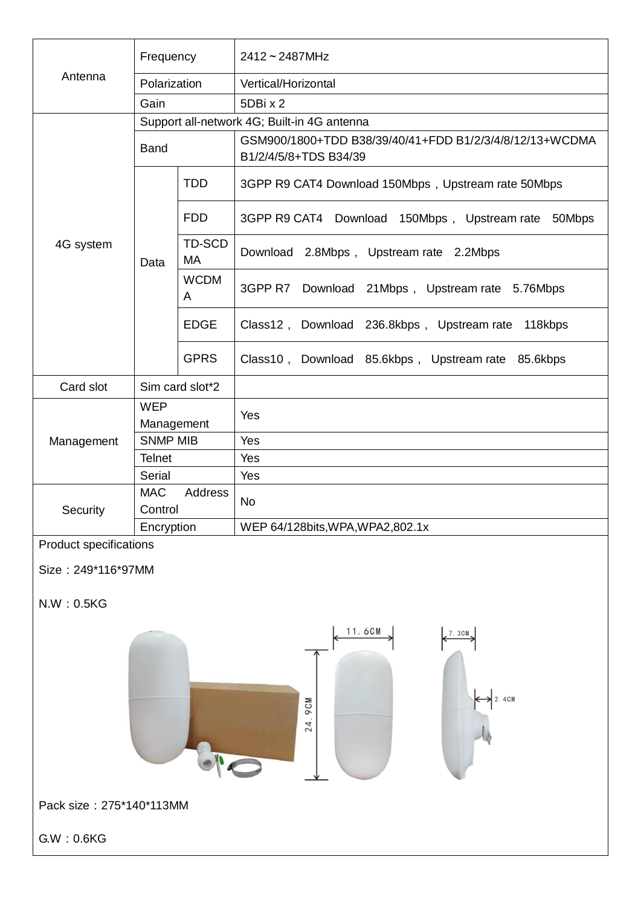|                                                     | Frequency             |                     | $2412 - 2487$ MHz                                                                |  |  |  |
|-----------------------------------------------------|-----------------------|---------------------|----------------------------------------------------------------------------------|--|--|--|
| Antenna                                             | Polarization          |                     | Vertical/Horizontal                                                              |  |  |  |
|                                                     | Gain                  |                     | 5DBix2                                                                           |  |  |  |
|                                                     |                       |                     | Support all-network 4G; Built-in 4G antenna                                      |  |  |  |
| 4G system                                           | <b>Band</b>           |                     | GSM900/1800+TDD B38/39/40/41+FDD B1/2/3/4/8/12/13+WCDMA<br>B1/2/4/5/8+TDS B34/39 |  |  |  |
|                                                     | Data                  | <b>TDD</b>          | 3GPP R9 CAT4 Download 150Mbps, Upstream rate 50Mbps                              |  |  |  |
|                                                     |                       | <b>FDD</b>          | 3GPP R9 CAT4 Download 150Mbps, Upstream rate 50Mbps                              |  |  |  |
|                                                     |                       | TD-SCD<br><b>MA</b> | Download 2.8Mbps, Upstream rate 2.2Mbps                                          |  |  |  |
|                                                     |                       | <b>WCDM</b><br>A    | 3GPP R7 Download 21Mbps, Upstream rate 5.76Mbps                                  |  |  |  |
|                                                     |                       | <b>EDGE</b>         | Class12, Download 236.8kbps, Upstream rate 118kbps                               |  |  |  |
|                                                     |                       | <b>GPRS</b>         | Class10, Download 85.6kbps, Upstream rate 85.6kbps                               |  |  |  |
| Card slot                                           | Sim card slot*2       |                     |                                                                                  |  |  |  |
|                                                     | <b>WEP</b>            |                     | Yes                                                                              |  |  |  |
|                                                     | Management            |                     |                                                                                  |  |  |  |
| Management                                          | <b>SNMP MIB</b>       |                     | Yes                                                                              |  |  |  |
|                                                     | <b>Telnet</b>         |                     | Yes                                                                              |  |  |  |
|                                                     | Serial                |                     | Yes                                                                              |  |  |  |
|                                                     | <b>MAC</b><br>Address |                     | No                                                                               |  |  |  |
| Security                                            | Control<br>Encryption |                     |                                                                                  |  |  |  |
|                                                     |                       |                     | WEP 64/128bits, WPA, WPA2, 802.1x                                                |  |  |  |
| <b>Product specifications</b><br>Size: 249*116*97MM |                       |                     |                                                                                  |  |  |  |
| N.W : 0.5KG                                         |                       |                     |                                                                                  |  |  |  |
| 11.6CM<br>7.3CM<br>2.4CM<br>ACM<br>24               |                       |                     |                                                                                  |  |  |  |
| Pack size: 275*140*113MM                            |                       |                     |                                                                                  |  |  |  |
| GW: 0.6KG                                           |                       |                     |                                                                                  |  |  |  |